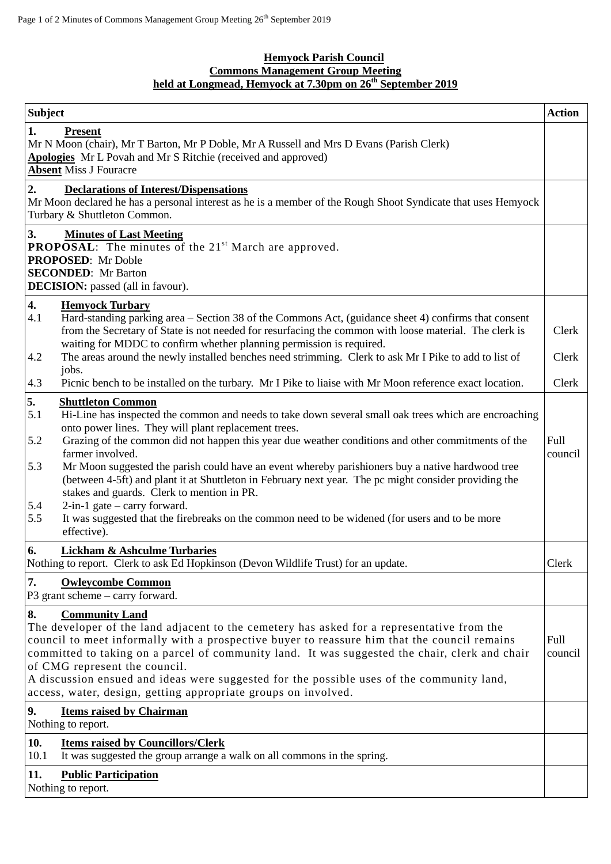## **Hemyock Parish Council Commons Management Group Meeting held at Longmead, Hemyock at 7.30pm on 26 th September 2019**

| <b>Subject</b>                        |                                                                                                                                                                                                                                                                                                                                                                                                                                                                                                                                                                                                                                                                                                                                     | <b>Action</b>   |
|---------------------------------------|-------------------------------------------------------------------------------------------------------------------------------------------------------------------------------------------------------------------------------------------------------------------------------------------------------------------------------------------------------------------------------------------------------------------------------------------------------------------------------------------------------------------------------------------------------------------------------------------------------------------------------------------------------------------------------------------------------------------------------------|-----------------|
| 1.                                    | <b>Present</b><br>Mr N Moon (chair), Mr T Barton, Mr P Doble, Mr A Russell and Mrs D Evans (Parish Clerk)<br>Apologies Mr L Povah and Mr S Ritchie (received and approved)<br><b>Absent Miss J Fouracre</b>                                                                                                                                                                                                                                                                                                                                                                                                                                                                                                                         |                 |
| 2.                                    | <b>Declarations of Interest/Dispensations</b><br>Mr Moon declared he has a personal interest as he is a member of the Rough Shoot Syndicate that uses Hemyock<br>Turbary & Shuttleton Common.                                                                                                                                                                                                                                                                                                                                                                                                                                                                                                                                       |                 |
| 3.                                    | <b>Minutes of Last Meeting</b><br><b>PROPOSAL:</b> The minutes of the 21 <sup>st</sup> March are approved.<br><b>PROPOSED:</b> Mr Doble<br><b>SECONDED:</b> Mr Barton<br><b>DECISION:</b> passed (all in favour).                                                                                                                                                                                                                                                                                                                                                                                                                                                                                                                   |                 |
| 4.<br>4.1<br>4.2                      | <b>Hemyock Turbary</b><br>Hard-standing parking area - Section 38 of the Commons Act, (guidance sheet 4) confirms that consent<br>from the Secretary of State is not needed for resurfacing the common with loose material. The clerk is<br>waiting for MDDC to confirm whether planning permission is required.<br>The areas around the newly installed benches need strimming. Clerk to ask Mr I Pike to add to list of<br>jobs.                                                                                                                                                                                                                                                                                                  | Clerk<br>Clerk  |
| 4.3                                   | Picnic bench to be installed on the turbary. Mr I Pike to liaise with Mr Moon reference exact location.                                                                                                                                                                                                                                                                                                                                                                                                                                                                                                                                                                                                                             | Clerk           |
| 5.<br>5.1<br>5.2<br>5.3<br>5.4<br>5.5 | <b>Shuttleton Common</b><br>Hi-Line has inspected the common and needs to take down several small oak trees which are encroaching<br>onto power lines. They will plant replacement trees.<br>Grazing of the common did not happen this year due weather conditions and other commitments of the<br>farmer involved.<br>Mr Moon suggested the parish could have an event whereby parishioners buy a native hardwood tree<br>(between 4-5ft) and plant it at Shuttleton in February next year. The pc might consider providing the<br>stakes and guards. Clerk to mention in PR.<br>$2$ -in-1 gate – carry forward.<br>It was suggested that the firebreaks on the common need to be widened (for users and to be more<br>effective). | Full<br>council |
| 6.                                    | <b>Lickham &amp; Ashculme Turbaries</b><br>Nothing to report. Clerk to ask Ed Hopkinson (Devon Wildlife Trust) for an update.                                                                                                                                                                                                                                                                                                                                                                                                                                                                                                                                                                                                       | Clerk           |
| 7.                                    | <b>Owleycombe Common</b><br>P3 grant scheme $-$ carry forward.                                                                                                                                                                                                                                                                                                                                                                                                                                                                                                                                                                                                                                                                      |                 |
| 8.                                    | <b>Community Land</b><br>The developer of the land adjacent to the cemetery has asked for a representative from the<br>council to meet informally with a prospective buyer to reassure him that the council remains<br>committed to taking on a parcel of community land. It was suggested the chair, clerk and chair<br>of CMG represent the council.<br>A discussion ensued and ideas were suggested for the possible uses of the community land,<br>access, water, design, getting appropriate groups on involved.                                                                                                                                                                                                               | Full<br>council |
| 9.                                    | <b>Items raised by Chairman</b><br>Nothing to report.                                                                                                                                                                                                                                                                                                                                                                                                                                                                                                                                                                                                                                                                               |                 |
| 10.<br>10.1                           | <b>Items raised by Councillors/Clerk</b><br>It was suggested the group arrange a walk on all commons in the spring.                                                                                                                                                                                                                                                                                                                                                                                                                                                                                                                                                                                                                 |                 |
| 11.                                   | <b>Public Participation</b><br>Nothing to report.                                                                                                                                                                                                                                                                                                                                                                                                                                                                                                                                                                                                                                                                                   |                 |